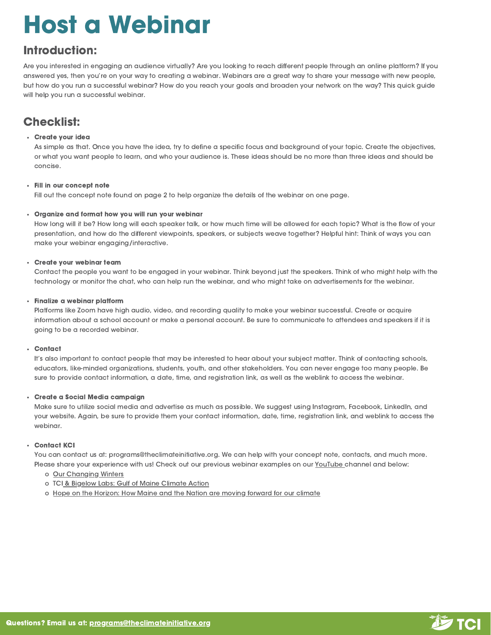# Host a Webinar

## Introduction:

Are you interested in engaging an audience virtually? Are you looking to reach different people through an online platform? If you answered yes, then you're on your way to creating a webinar. Webinars are a great way to share your message with new people, but how do you run a successful webinar? How do you reach your goals and broaden your network on the way? This quick guide will help you run a successful webinar.

## Checklist:

#### Create your idea

As simple as that. Once you have the idea, try to define a specific focus and background of your topic. Create the objectives, or what you want people to learn, and who your audience is. These ideas should be no more than three ideas and should be concise.

#### Fill in our concept note

Fill out the concept note found on page 2 to help organize the details of the webinar on one page.

#### Organize and format how you will run your webinar

How long will it be? How long will each speaker talk, or how much time will be allowed for each topic? What is the flow of your presentation, and how do the different viewpoints, speakers, or subjects weave together? Helpful hint: Think of ways you can make your webinar engaging/interactive.

#### Create your webinar team

Contact the people you want to be engaged in your webinar. Think beyond just the speakers. Think of who might help with the technology or monitor the chat, who can help run the webinar, and who might take on advertisements for the webinar.

#### Finalize a webinar platform

Platforms like Zoom have high audio, video, and recording quality to make your webinar successful. Create or acquire information about a school account or make a personal account. Be sure to communicate to attendees and speakers if it is going to be a recorded webinar.

#### Contact

It's also important to contact people that may be interested to hear about your subject matter. Think of contacting schools, educators, like-minded organizations, students, youth, and other stakeholders. You can never engage too many people. Be sure to provide contact information, a date, time, and registration link, as well as the weblink to access the webinar.

#### Create a Social Media campaign

Make sure to utilize social media and advertise as much as possible. We suggest using Instagram, Facebook, LinkedIn, and your website. Again, be sure to provide them your contact information, date, time, registration link, and weblink to access the webinar.

#### Contact KCI

You can contact us at: p[rograms@theclimateinitiative.org](mailto:programs@kportclimate.org). We can help with your concept note, contacts, and much more. Please share your experience with us! Check out our previous webinar examples on our [YouTube](https://www.youtube.com/channel/UCXYqbUlBU-ZW46CvVgr0SMg) [channel](https://www.youtube.com/channel/UCXYqbUlBU-ZW46CvVgr0SMg) and below:

- o [O](https://www.youtube.com/watch?v=7-gqJDkvQoQ)ur [Changing](https://www.youtube.com/watch?v=7-gqJDkvQoQ) Winters
- o [T](https://www.youtube.com/watch?v=tQSzQ5aPlBo)CI & Bigelow Labs: Gulf of Maine [Climate](https://www.youtube.com/watch?v=tQSzQ5aPlBo) Action
- o [H](https://www.youtube.com/watch?v=MSPMdULto-M)ope on the [Horizon:](https://www.youtube.com/watch?v=MSPMdULto-M) How Maine and the Nation are moving forward for our climate